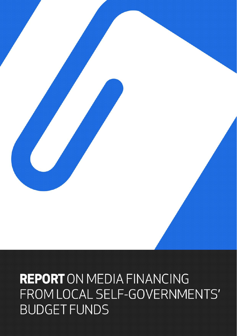

# **REPORT** ON MEDIA FINANCING FROM LOCAL SELF-GOVERNMENTS' **BUDGET FUNDS**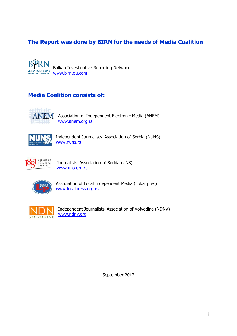# **The Report was done by BIRN for the needs of Media Coalition**

R Balkan Investigative Reporting Network **Balkan Investigative** [www.birn.eu.com](http://www.birn.eu.com/) **Reporting Network** 

# **Media Coalition consists of:**



Association of Independent Electronic Media (ANEM) [www.anem.org.rs](http://www.anem.org.rs/)



Independent Journalists' Association of Serbia (NUNS) [www.nuns.rs](http://www.nuns.rs/)



Journalists' Association of Serbia (UNS) [www.uns.org.rs](http://www.uns.org.rs/)



Association of Local Independent Media (Lokal pres) [www.localpress.org.rs](http://www.localpress.org.rs/)



Independent Journalists' Association of Vojvodina (NDNV) [www.ndnv.org](http://www.ndnv.org/)

September 2012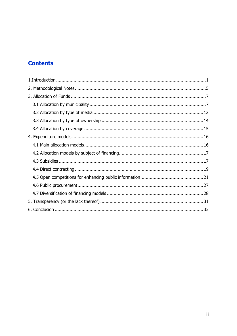# **Contents**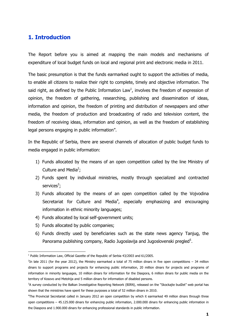## <span id="page-3-0"></span>**1. Introduction**

The Report before you is aimed at mapping the main models and mechanisms of expenditure of local budget funds on local and regional print and electronic media in 2011.

The basic presumption is that the funds earmarked ought to support the activities of media, to enable all citizens to realize their right to complete, timely and objective information. The said right, as defined by the Public Information Law<sup>1</sup>, involves the freedom of expression of opinion, the freedom of gathering, researching, publishing and dissemination of ideas, information and opinion, the freedom of printing and distribution of newspapers and other media, the freedom of production and broadcasting of radio and television content, the freedom of receiving ideas, information and opinion, as well as the freedom of establishing legal persons engaging in public information".

In the Republic of Serbia, there are several channels of allocation of public budget funds to media engaged in public information:

- 1) Funds allocated by the means of an open competition called by the line Ministry of Culture and Media<sup>2</sup>;
- 2) Funds spent by individual ministries, mostly through specialized and contracted services<sup>3</sup>;
- 3) Funds allocated by the means of an open competition called by the Vojvodina Secretariat for Culture and Media<sup>4</sup>, especially emphasizing and encouraging information in ethnic minority languages;
- 4) Funds allocated by local self-government units;
- 5) Funds allocated by public companies;
- 6) Funds directly used by beneficiaries such as the state news agency Tanjug, the Panorama publishing company, Radio Jugoslavija and Jugoslovenski pregled<sup>5</sup>.

 1 Public Information Law, Official Gazette of the Republic of Serbia 43/2003 and 61/2005.

<sup>2</sup> In late 2011 (for the year 2012), the Ministry earmarked a total of 75 million dinars in five open competitions – 34 million dinars to support programs and projects for enhancing public information, 20 million dinars for projects and programs of information in minority languages, 10 million dinars for information for the Diaspora, 6 million dinars for public media on the territory of Kosovo and Metohija and 5 million dinars for information of disabled persons.

<sup>&</sup>lt;sup>3</sup>A survey conducted by the Balkan Investigative Reporting Network (BIRN), released on the "Skockajte budžet" web portal has shown that the ministries have spent for these purposes a total of 52 million dinars in 2010.

<sup>4</sup>The Provincial Secretariat called in January 2012 an open competition by which it earmarked 49 million dinars through three open competitions – 45.125.000 dinars for enhancing public information, 2.000.000 dinars for enhancing public information in the Diaspora and 1.900.000 dinars for enhancing professional standards in public information.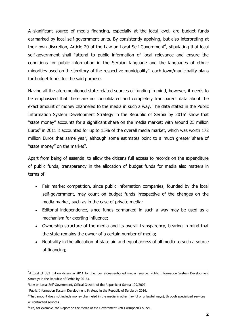A significant source of media financing, especially at the local level, are budget funds earmarked by local self-government units. By consistently applying, but also interpreting at their own discretion, Article 20 of the Law on Local Self-Government<sup>6</sup>, stipulating that local self-government shall "attend to public information of local relevance and ensure the conditions for public information in the Serbian language and the languages of ethnic minorities used on the territory of the respective municipality", each town/municipality plans for budget funds for the said purpose.

Having all the aforementioned state-related sources of funding in mind, however, it needs to be emphasized that there are no consolidated and completely transparent data about the exact amount of money channeled to the media in such a way. The data stated in the Public Information System Development Strategy in the Republic of Serbia by 2016<sup>7</sup> show that "state money" accounts for a significant share on the media market: with around 25 million Euros $^8$  in 2011 it accounted for up to 15% of the overall media market, which was worth 172 million Euros that same year, although some estimates point to a much greater share of "state money" on the market<sup>9</sup>.

Apart from being of essential to allow the citizens full access to records on the expenditure of public funds, transparency in the allocation of budget funds for media also matters in terms of:

- Fair market competition, since public information companies, founded by the local self-government, may count on budget funds irrespective of the changes on the media market, such as in the case of private media;
- Editorial independence, since funds earmarked in such a way may be used as a mechanism for exerting influence;
- Ownership structure of the media and its overall transparency, bearing in mind that the state remains the owner of a certain number of media;
- Neutrality in the allocation of state aid and equal access of all media to such a source of financing;

 $\overline{a}$ <sup>5</sup>A total of 382 million dinars in 2011 for the four aforementioned media (source: Public Information System Development Strategy in the Republic of Serbia by 2016).

<sup>6</sup> Law on Local Self-Government, Official Gazette of the Republic of Serbia 129/2007.

<sup>&</sup>lt;sup>7</sup>Public Information System Development Strategy in the Republic of Serbia by 2016.

<sup>&</sup>lt;sup>8</sup>That amount does not include money channeled in the media in other (lawful or unlawful ways), through specialized services or contracted services.

<sup>&</sup>lt;sup>9</sup>See, for example, the Report on the Media of the Government Anti-Corruption Council.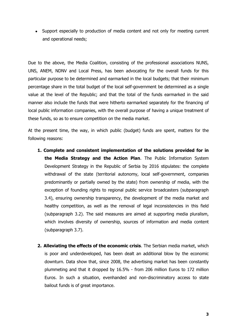Support especially to production of media content and not only for meeting current and operational needs;

Due to the above, the Media Coalition, consisting of the professional associations NUNS, UNS, ANEM, NDNV and Local Press, has been advocating for the overall funds for this particular purpose to be determined and earmarked in the local budgets; that their minimum percentage share in the total budget of the local self-government be determined as a single value at the level of the Republic; and that the total of the funds earmarked in the said manner also include the funds that were hitherto earmarked separately for the financing of local public information companies, with the overall purpose of having a unique treatment of these funds, so as to ensure competition on the media market.

At the present time, the way, in which public (budget) funds are spent, matters for the following reasons:

- **1. Complete and consistent implementation of the solutions provided for in the Media Strategy and the Action Plan**. The Public Information System Development Strategy in the Republic of Serbia by 2016 stipulates: the complete withdrawal of the state (territorial autonomy, local self-government, companies predominantly or partially owned by the state) from ownership of media, with the exception of founding rights to regional public service broadcasters (subparagraph 3.4), ensuring ownership transparency, the development of the media market and healthy competition, as well as the removal of legal inconsistencies in this field (subparagraph 3.2). The said measures are aimed at supporting media pluralism, which involves diversity of ownership, sources of information and media content (subparagraph 3.7).
- **2. Alleviating the effects of the economic crisis**. The Serbian media market, which is poor and underdeveloped, has been dealt an additional blow by the economic downturn. Data show that, since 2008, the advertising market has been constantly plummeting and that it dropped by 16.5% - from 206 million Euros to 172 million Euros. In such a situation, evenhanded and non-discriminatory access to state bailout funds is of great importance.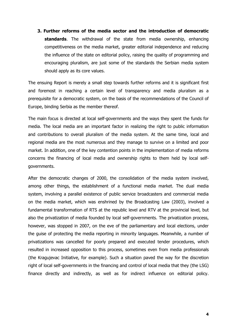**3. Further reforms of the media sector and the introduction of democratic standards**. The withdrawal of the state from media ownership, enhancing competitiveness on the media market, greater editorial independence and reducing the influence of the state on editorial policy, raising the quality of programming and encouraging pluralism, are just some of the standards the Serbian media system should apply as its core values.

The ensuing Report is merely a small step towards further reforms and it is significant first and foremost in reaching a certain level of transparency and media pluralism as a prerequisite for a democratic system, on the basis of the recommendations of the Council of Europe, binding Serbia as the member thereof.

The main focus is directed at local self-governments and the ways they spent the funds for media. The local media are an important factor in realizing the right to public information and contributions to overall pluralism of the media system. At the same time, local and regional media are the most numerous and they manage to survive on a limited and poor market. In addition, one of the key contention points in the implementation of media reforms concerns the financing of local media and ownership rights to them held by local selfgovernments.

After the democratic changes of 2000, the consolidation of the media system involved, among other things, the establishment of a functional media market. The dual media system, involving a parallel existence of public service broadcasters and commercial media on the media market, which was enshrined by the Broadcasting Law (2003), involved a fundamental transformation of RTS at the republic level and RTV at the provincial level, but also the privatization of media founded by local self-governments. The privatization process, however, was stopped in 2007, on the eve of the parliamentary and local elections, under the guise of protecting the media reporting in minority languages. Meanwhile, a number of privatizations was cancelled for poorly prepared and executed tender procedures, which resulted in increased opposition to this process, sometimes even from media professionals (the Kragujevac Initiative, for example). Such a situation paved the way for the discretion right of local self-governments in the financing and control of local media that they (the LSG) finance directly and indirectly, as well as for indirect influence on editorial policy.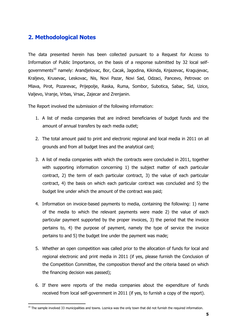## <span id="page-7-0"></span>**2. Methodological Notes**

The data presented herein has been collected pursuant to a Request for Access to Information of Public Importance, on the basis of a response submitted by 32 local selfgovernments<sup>10</sup> namely: Arandjelovac, Bor, Cacak, Jagodina, Kikinda, Knjazevac, Kragujevac, Kraljevo, Krusevac, Leskovac, Nis, Novi Pazar, Novi Sad, Odzaci, Pancevo, Petrovac on Mlava, Pirot, Pozarevac, Prijepolje, Raska, Ruma, Sombor, Subotica, Sabac, Sid, Uzice, Valjevo, Vranje, Vrbas, Vrsac, Zajecar and Zrenjanin.

The Report involved the submission of the following information:

- 1. A list of media companies that are indirect beneficiaries of budget funds and the amount of annual transfers by each media outlet;
- 2. The total amount paid to print and electronic regional and local media in 2011 on all grounds and from all budget lines and the analytical card;
- 3. A list of media companies with which the contracts were concluded in 2011, together with supporting information concerning 1) the subject matter of each particular contract, 2) the term of each particular contract, 3) the value of each particular contract, 4) the basis on which each particular contract was concluded and 5) the budget line under which the amount of the contract was paid;
- 4. Information on invoice-based payments to media, containing the following: 1) name of the media to which the relevant payments were made 2) the value of each particular payment supported by the proper invoices, 3) the period that the invoice pertains to, 4) the purpose of payment, namely the type of service the invoice pertains to and 5) the budget line under the payment was made;
- 5. Whether an open competition was called prior to the allocation of funds for local and regional electronic and print media in 2011 (if yes, please furnish the Conclusion of the Competition Committee, the composition thereof and the criteria based on which the financing decision was passed);
- 6. If there were reports of the media companies about the expenditure of funds received from local self-government in 2011 (if yes, to furnish a copy of the report).

 $\overline{a}$ <sup>10</sup> The sample involved 33 municipalities and towns. Loznica was the only town that did not furnish the required information.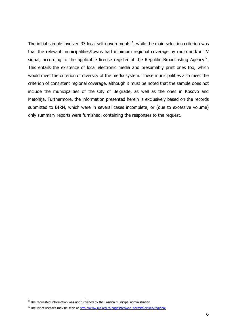The initial sample involved 33 local self-governments $11$ , while the main selection criterion was that the relevant municipalities/towns had minimum regional coverage by radio and/or TV signal, according to the applicable license register of the Republic Broadcasting Agency<sup>12</sup>. This entails the existence of local electronic media and presumably print ones too, which would meet the criterion of diversity of the media system. These municipalities also meet the criterion of consistent regional coverage, although it must be noted that the sample does not include the municipalities of the City of Belgrade, as well as the ones in Kosovo and Metohija. Furthermore, the information presented herein is exclusively based on the records submitted to BIRN, which were in several cases incomplete, or (due to excessive volume) only summary reports were furnished, containing the responses to the request.

**.** 

 $11$ The requested information was not furnished by the Loznica municipal administration.

<sup>&</sup>lt;sup>12</sup>The list of licenses may be seen at [http://www.rra.org.rs/pages/browse\\_permits/cirilica/regional](http://www.rra.org.rs/pages/browse_permits/cirilica/regional)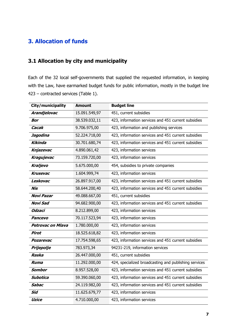## <span id="page-9-0"></span>**3. Allocation of funds**

# <span id="page-9-1"></span>**3.1 Allocation by city and municipality**

Each of the 32 local self-governments that supplied the requested information, in keeping with the Law, have earmarked budget funds for public information, mostly in the budget line 423 – contracted services (Table 1).

| City/municipality        | <b>Amount</b> | <b>Budget line</b>                                    |
|--------------------------|---------------|-------------------------------------------------------|
| Arandjelovac             | 15.091.549,97 | 451, current subsidies                                |
| <b>Bor</b>               | 38.539.032,11 | 423, information services and 451 current subsidies   |
| Cacak                    | 9.706.975,00  | 423, information and publishing services              |
| Jagodina                 | 52.224.718,00 | 423, information services and 451 current subsidies   |
| Kikinda                  | 30.701.680,74 | 423, information services and 451 current subsidies   |
| Knjazevac                | 4.890.061,42  | 423, information services                             |
| Kragujevac               | 73.159.720,00 | 423, information services                             |
| Kraljevo                 | 5.675.000,00  | 454, subsidies to private companies                   |
| <b>Krusevac</b>          | 1.604.999,74  | 423, information services                             |
| Leskovac                 | 26.897.917,00 | 423, information services and 451 current subsidies   |
| Nis                      | 58.644.200,40 | 423, information services and 451 current subsidies   |
| <b>Novi Pazar</b>        | 49.088.667,00 | 451, current subsidies                                |
| <b>Novi Sad</b>          | 94.682.900,00 | 423, information services and 451 current subsidies   |
| <b>Odzaci</b>            | 8.212.899,00  | 423, information services                             |
| <b>Pancevo</b>           | 70.117.523,94 | 423, information services                             |
| <b>Petrovac on Mlava</b> | 1.780.000,00  | 423, information services                             |
| <b>Pirot</b>             | 18.525.618,82 | 423, information services                             |
| <b>Pozarevac</b>         | 17.754.598,65 | 423, information services and 451 current subsidies   |
| Prijepolje               | 783.973,34    | 94231-219, information services                       |
| Raska                    | 26.447.000,00 | 451, current subsidies                                |
| Ruma                     | 11.292.000,00 | 424, specialized broadcasting and publishing services |
| Sombor                   | 8.957.528,00  | 423, information services and 451 current subsidies   |
| Subotica                 | 59.390.060,00 | 423, information services and 451 current subsidies   |
| Sabac                    | 24.119.982,00 | 423, information services and 451 current subsidies   |
| Sid                      | 11.625.679,77 | 423, information services                             |
| <b>Uzice</b>             | 4.710.000,00  | 423, information services                             |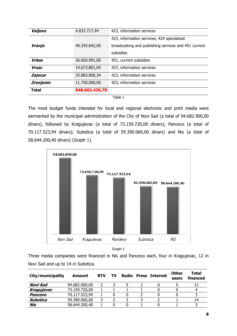| Total            | 848.662.436,78 |                                                                   |
|------------------|----------------|-------------------------------------------------------------------|
| <b>Zrenjanin</b> | 11.750.000,00  | 423, information services                                         |
| Zajecar          | 25.883.800,34  | 423, information services                                         |
| <b>Vrsac</b>     | 14.673.801,04  | 423, information services                                         |
| <b>Vrbas</b>     | 26.650.991,06  | 451, current subsidies                                            |
| Vranje           | 40.245.842,00  | broadcasting and publishing services and 451 current<br>subsidies |
|                  |                | 423, information services; 424 specialized                        |
| Valjevo          | 4.833.717,44   | 423, information services                                         |

The most budget funds intended for local and regional electronic and print media were earmarked by the municipal administration of the City of Novi Sad (a total of 94.682.900,00 dinars), followed by Kragujevac (a total of 73.159.720,00 dinars); Pancevo (a total of 70.117.523,94 dinars); Subotica (a total of 59.390.060,00 dinars) and Nis (a total of 58.644.200,40 dinars) (Graph 1).





Three media companies were financed in Nis and Pancevo each, four in Kragujevac, 12 in Novi Sad and up to 14 in Subotica.

| City/municipality | Amount        | <b>RTV</b> | TV | Radio | <b>Press Internet</b> | <b>Other</b><br>users | Total<br>financed |
|-------------------|---------------|------------|----|-------|-----------------------|-----------------------|-------------------|
| Novi Sad          | 94.682.900,00 |            |    |       |                       |                       |                   |
| Kragujevac        | 73.159.720,00 |            |    |       |                       |                       |                   |
| Pancevo           | 70.117.523,94 |            |    |       |                       |                       |                   |
| Subotica          | 59.390.060,00 |            |    |       |                       |                       | 14                |
| Nis               | 58.644.200,40 |            |    |       |                       |                       |                   |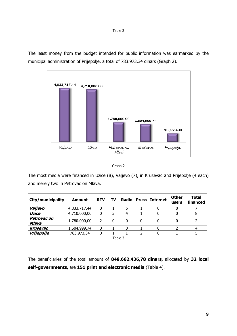The least money from the budget intended for public information was earmarked by the municipal administration of Prijepolje, a total of 783.973,34 dinars (Graph 2).





The most media were financed in Uzice (8), Valjevo (7), in Krusevac and Prijepolje (4 each) and merely two in Petrovac on Mlava.

| City/municipality    | Amount       | <b>RTV</b> | TV | Radio     |   | <b>Press Internet</b> | <b>Other</b><br>users | Total<br>financed |
|----------------------|--------------|------------|----|-----------|---|-----------------------|-----------------------|-------------------|
| Valjevo              | 4.833.717,44 | 0          |    |           |   |                       |                       |                   |
| Uzice                | 4.710.000,00 | 0          |    |           |   |                       |                       | 8                 |
| Petrovac on<br>Mlava | 1.780.000,00 | 2          |    | O         | 0 |                       |                       |                   |
| Krusevac             | 1.604.999,74 | 0          |    |           |   |                       |                       |                   |
| Prijepolje           | 783.973,34   |            |    |           |   |                       |                       |                   |
|                      |              |            |    | $T - L L$ |   |                       |                       |                   |

Table 3

The beneficiaries of the total amount of **848.662.436,78 dinars,** allocated by **32 local self-governments,** are **151 print and electronic media** (Table 4).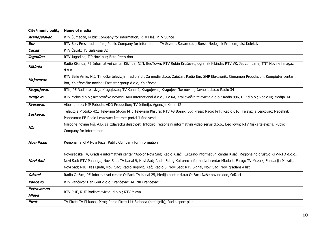| City/municipality  | <b>Name of media</b>                                                                                                                              |  |  |  |  |  |
|--------------------|---------------------------------------------------------------------------------------------------------------------------------------------------|--|--|--|--|--|
| Arandjelovac       | RTV Šumadija, Public Company for information; RTV Fleš; RTV Sunce                                                                                 |  |  |  |  |  |
| <b>Bor</b>         | RTV Bor, Press radio i film, Public Company for information; TV Sezam, Sezam o.d.; Borski Nedeljnik Problem; List Kolektiv                        |  |  |  |  |  |
| Cacak              | RTV Čačak; TV Galaksija 32                                                                                                                        |  |  |  |  |  |
| Jagodina           | RTV Jagodina, JIP Novi put; Beta Press doo                                                                                                        |  |  |  |  |  |
| Kikinda            | Radio Kikinda, PE Informativni centar Kikinda; NIN, BeoTown; RTV Rubin Kruševac, ogranak Kikinda; RTV VK, Jet company; TNT Novine i magazin       |  |  |  |  |  |
|                    | d.o.o.                                                                                                                                            |  |  |  |  |  |
|                    | RTV Belle Amie, Niš; Timočka televizija i radio a.d.; Za media d.o.o, Zaječar; Radio Em, SMP Elektronik; Cinnamon Produkcion; Kompjuter centar    |  |  |  |  |  |
| Knjazevac          | Bor, Knjaževačke novine; East star group d.o.o, Knjaževac                                                                                         |  |  |  |  |  |
| <b>Kragujevac</b>  | RTK, PE Radio televizija Kragujevac; TV Kanal 9, Kragujevac; Kragujevačke novine, Javnost d.o.o; Radio 34                                         |  |  |  |  |  |
| <b>Kraljevo</b>    | RTV Melos d.o.o.; Kraljevačke novosti, AIM international d.o.o.; TV KA, Kraljevačka televizija d.o.o.; Radio 996, CIP d.o.o.; Radio M; Medija -M  |  |  |  |  |  |
| <b>Krusevac</b>    | Albos d.o.o.; NIP Pobeda; ADD Production; TV Jefimija, Agencija Kanal 12                                                                          |  |  |  |  |  |
| Leskovac           | Televizija Protokol-K1; Televizija Studio MT; Televizija Klisura; RTV 4S Bojnik; Jug Press; Radio Prik; Radio 016; Televizija Leskovac; Nedeljnik |  |  |  |  |  |
|                    | Panorama; PE Radio Leskovac; Internet portal Južne vesti                                                                                          |  |  |  |  |  |
| Nis                | Narodne novine Niš, A.D. za izdavačku delatnost; Infobiro, regionalni informativni video servis d.o.o., BeoTown; RTV Niška televizija, Public     |  |  |  |  |  |
|                    | Company for information                                                                                                                           |  |  |  |  |  |
| <b>Novi Pazar</b>  | Regionalna RTV Novi Pazar Public Company for information                                                                                          |  |  |  |  |  |
|                    | Novosadska TV, Gradski informativni centar "Apolo" Novi Sad; Radio Kisač, Kulturno-informativni centar Kisač; Regionalno društvo RTV-RTD d.o.o.,  |  |  |  |  |  |
| Novi Sad           | Novi Sad; RTV Panonija, Novi Sad; TV Kanal 9, Novi Sad; Radio Futog Kulturno-informativni centar Mladost, Futog; TV Mozaik, Fondacija Mozaik,     |  |  |  |  |  |
|                    | Novi Sad; NIU Hlas Ljudu, Novi Sad; Radio Jugović, Kać; Radio 5, Novi Sad; RTV Signal, Novi Sad; Novi građanski list                              |  |  |  |  |  |
| <b>Odzaci</b>      | Radio Odžaci, PE Informativni centar Odžaci; TV Kanal 25, Medija centar d.o.o Odžaci; Naše novine doo, Odžaci                                     |  |  |  |  |  |
| Pancevo            | RTV Pančevo; Dan Graf d.o.o.; Pančevac, AD NID Pančevac                                                                                           |  |  |  |  |  |
| <b>Petrovac on</b> | RTV RUF, RUF Radiotelevizija d.o.o.; RTV Mlava                                                                                                    |  |  |  |  |  |
| <b>Mlava</b>       |                                                                                                                                                   |  |  |  |  |  |
| <b>Pirot</b>       | TV Pirot; TV Pi kanal, Pirot; Radio Pirot; List Sloboda (nedeljnik); Radio sport plus                                                             |  |  |  |  |  |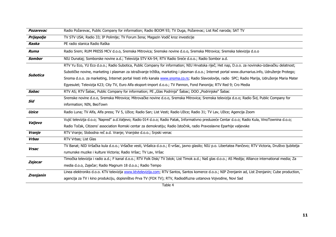| <b>Pozarevac</b> | Radio Požarevac, Public Company for information; Radio BOOM 93; TV Duga, Požarevac; List Reč naroda; SAT TV                                              |  |  |  |  |  |  |
|------------------|----------------------------------------------------------------------------------------------------------------------------------------------------------|--|--|--|--|--|--|
| Prijepolje       | TV STV USA; Radio 33; IP Polimlje; TV Forum žena; Magazin Vodič kroz investicije                                                                         |  |  |  |  |  |  |
| Raska            | PE radio stanica Radio Raška                                                                                                                             |  |  |  |  |  |  |
| Ruma             | Radio Srem; RUM PRESS MCV d.o.o, Sremska Mitrovica; Sremske novine d.o.o, Sremska Mitrovica; Sremska televizija d.o.o                                    |  |  |  |  |  |  |
| <b>Sombor</b>    | NIU Dunataj; Somborske novine a.d.; Televizija STV KA-54; RTV Radio Sreće d.o.o.; Radio Sombor a.d.                                                      |  |  |  |  |  |  |
|                  | RTV Yu Eco, YU Eco d.o.o.; Radio Subotica, Public Company for information; NIU Hrvatska riječ; Het nap, D.o.o. za novinsko-izdavačku delatnost;          |  |  |  |  |  |  |
| Subotica         | Subotičke novine, marketing i plasman za istraživanje tržišta, marketing i plasman d.o.o.; Internet portal www.diurnarius.info, Udruženje Protego;       |  |  |  |  |  |  |
|                  | Snoma d.o.o. za marketing, Internet portal Vesti info kanala www.snoma.co.rs; Radio Slavoslovlje, radio SPC; Radio Marija, Udruženje Maria Mater         |  |  |  |  |  |  |
|                  | Egyesulet; Televizija K23; City TV, Euro Alfa eksport-import d.o.o.; TV Pannon, Fond Panonija; RTV Red 9; Cro Media                                      |  |  |  |  |  |  |
| Sabac            | RTV AS; RTV Sabac, Public Company for information; PE "Glas Podrinja" Sabac; DOO "Podrinjske" Sabac                                                      |  |  |  |  |  |  |
| Sid              | Sremske novine d.o.o, Sremska Mitrovica; Mitrovačke novine d.o.o, Sremska Mitrovica; Sremska televizija d.o.o; Radio Šid, Public Company for             |  |  |  |  |  |  |
|                  | information; NIN, BeoTown                                                                                                                                |  |  |  |  |  |  |
| Uzice            | Radio Luna; TV Alfa, Alfa press; TV 5, Užice; Radio San; List Vesti; Radio Užice; Radio 31; TV Lav, Užice; Agencija Zoom                                 |  |  |  |  |  |  |
| Valjevo          | Vujić televizija d.o.o; 'Napred" a.d.Valjevo; Radio 014 d.o.o; Radio Patak, Informativno preduzeće Centar d.o.o; Radio Kula, VinoTownina d.o.o;          |  |  |  |  |  |  |
|                  | Radio Točak, Citizens' association Romski centar za demokratiju; Radio Istočnik, radio Pravoslavne Eparhije valjevske                                    |  |  |  |  |  |  |
| Vranje           | RTV Vranje; Slobodna reč a.d. Vranje; Vranjske d.o.o.; Srpski venac                                                                                      |  |  |  |  |  |  |
| <b>Vrbas</b>     | RTV Vrbas; List Glas                                                                                                                                     |  |  |  |  |  |  |
| <b>Vrsac</b>     | TV Banat; NID Vršačka kula d.o.o.; Vršačke vesti, Vršalica d.o.o.; E-vršac, javno glasilo; NIU p.o. Libertatea Pančevo; RTV Victoria, Društvo ljubitelja |  |  |  |  |  |  |
|                  | rumunske muzike i kulture Victoria; Radio Vršac; TV Lav, Vršac                                                                                           |  |  |  |  |  |  |
| Zajecar          | Timočka televizija i radio a.d.; F kanal d.o.o.; RTV Folk Disk/ TV Istok; List Timok a.d.; Naš glas d.o.o.; AS Medija; Alliance international media; Za  |  |  |  |  |  |  |
|                  | media d.o.o, Zaječar; Radio Magnum 18 d.o.o.; Radio Tempo                                                                                                |  |  |  |  |  |  |
| <b>Zrenjanin</b> | Linea elektroniks d.o.o. KTV televizija www.ktvtelevizija.com; RTV Santos, Santos komerce d.o.o.; NIP Zrenjanin ad, List Zrenjanin; Cube production,     |  |  |  |  |  |  |
|                  | agencija za TV i kino produkciju, dopisništvo Prva TV (FOX TV); RTV, Radiodifuzna ustanova Vojvodine, Novi Sad                                           |  |  |  |  |  |  |

Table 4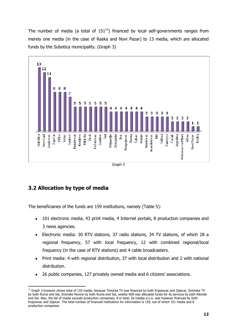The number of media (a total of  $151^{13}$ ) financed by local self-governments ranges from merely one media (in the case of Raska and Novi Pazar) to 13 media, which are allocated funds by the Subotica municipality. (Graph 3)



## <span id="page-14-0"></span>**3.2 Allocation by type of media**

The beneficiaries of the funds are 159 institutions, namely (Table 5):

- 101 electronic media, 43 print media, 4 Internet portals, 8 production companies and  $\bullet$ 3 news agencies.
- Electronic media: 30 RTV stations, 37 radio stations, 34 TV stations, of which 28 a regional frequency, 57 with local frequency, 12 with combined regional/local frequency (in the case of RTV stations) and 4 cable broadcasters.
- Print media: 4 with regional distribution, 37 with local distribution and 2 with national distribution.
- 26 public companies, 127 privately owned media and 6 citizens' associations.

**<sup>.</sup>** <sup>13</sup> Graph 3 however shows total of 155 media, because Timocka TV was financed by both Knjazevac and Zajecar, Sremska TV by both Ruma and Sid, Sremske Novine by both Ruma and Sid, weekly NIN was allocated funds for its services by both Kikinda and Sid. Also, the list of media exclude production companies, 8 in total. Za medija d.o.o. was however financed by both Knjazevac and Zajecar. The total number of financed institutions for information is 159, out of which 151 media and 8 production companies.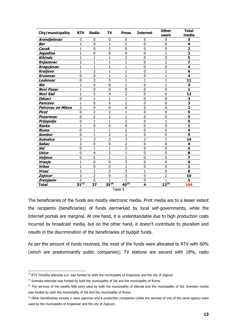| City/municipality        | <b>RTV</b>     | <b>Radio</b>   | TV             | <b>Press</b>   | <b>Internet</b> | <b>Other</b><br>users | <b>Total</b><br>media   |
|--------------------------|----------------|----------------|----------------|----------------|-----------------|-----------------------|-------------------------|
| Arandjelovac             | 3              | 0              | 0              | 0              | 0               | 0                     | З                       |
| Bor                      | $\mathbf{1}$   | 0              | $\mathbf{1}$   | $\overline{2}$ | $\mathbf 0$     | 0                     | 4                       |
| Cacak                    | $\mathbf{1}$   | $\mathbf 0$    | $\mathbf{1}$   | $\mathbf 0$    | $\mathbf 0$     | $\mathbf{0}$          | $\overline{\mathbf{2}}$ |
| Jagodina                 | $\mathbf{1}$   | 0              | 0              | 0              | 0               | 1                     | $\overline{\mathbf{2}}$ |
| Kikinda                  | $\mathbf{1}$   | $\mathbf{1}$   | $\mathbf{1}$   | $\overline{2}$ | 0               | 0                     | 5                       |
| Knjazevac                | $\overline{2}$ | $\mathbf{1}$   | $\mathbf{1}$   | 1              | $\mathbf{0}$    | 2                     | $\overline{\mathbf{z}}$ |
| Kragujevac               | $\mathbf{1}$   | $\mathbf{1}$   | $\mathbf{1}$   | 1              | $\mathbf 0$     | $\mathbf 0$           | 4                       |
| Kraljevo                 | $\mathbf{1}$   | $\overline{2}$ | $\mathbf{1}$   | 1              | $\mathbf{0}$    | 1                     | 6                       |
| <b>Krusevac</b>          | $\mathbf 0$    | 0              | $\mathbf{1}$   | $\overline{2}$ | 0               | 1                     | 4                       |
| Leskovac                 | $\mathbf 0$    | 3              | 5              | 1              | 1               | 1                     | 11                      |
| Nis                      | $\mathbf{1}$   | 0              | 0              | 1              | $\mathbf{0}$    | 1                     | 3                       |
| <b>Novi Pazar</b>        | 1              | 0              | 0              | 0              | 0               | $\mathbf{0}$          | 1                       |
| Novi Sad                 | $\mathbf{1}$   | 5              | 4              | $\overline{2}$ | $\mathbf 0$     | 0                     | 12                      |
| <b>Odzaci</b>            | $\mathbf 0$    | $\mathbf{1}$   | $\mathbf{1}$   | $\mathbf{1}$   | $\mathbf 0$     | 0                     | 3                       |
| <b>Pancevo</b>           | $\mathbf{1}$   | 0              | $\overline{0}$ | $\overline{2}$ | $\mathbf 0$     | 0                     | 3                       |
| <b>Petrovac on Mlava</b> | $\overline{2}$ | 0              | $\mathbf 0$    | $\overline{0}$ | $\mathbf 0$     | $\mathbf{0}$          | $\overline{\mathbf{2}}$ |
| Pirot                    | $\mathbf 0$    | $\overline{2}$ | $\overline{2}$ | 1              | $\mathbf{0}$    | $\mathbf{0}$          | $\overline{\mathbf{5}}$ |
| Pozarevac                | $\bf{0}$       | $\overline{2}$ | $\overline{2}$ | 1              | 0               | 0                     | 5                       |
| Prijepolje               | $\mathbf 0$    | $\mathbf{1}$   | $\mathbf{1}$   | $\overline{2}$ | 0               | 1                     | 5                       |
| Raska                    | $\mathbf{1}$   | 0              | $\mathbf 0$    | 0              | 0               | $\mathbf 0$           | 1                       |
| <b>Ruma</b>              | $\mathbf 0$    | $\mathbf{1}$   | $\mathbf{1}$   | $\overline{2}$ | 0               | $\mathbf 0$           | 4                       |
| Sombor                   | $\overline{0}$ | $\mathbf{1}$   | $\overline{2}$ | $\overline{2}$ | $\mathbf 0$     | $\mathbf 0$           | 5                       |
| Subotica                 | 3              | 3              | $\overline{2}$ | 3              | 2               | $\mathbf{1}$          | 14                      |
| <b>Sabac</b>             | $\overline{2}$ | $\overline{0}$ | $\overline{0}$ | $\overline{2}$ | $\mathbf 0$     | $\mathbf 0$           | 4                       |
| Sid                      | $\overline{0}$ | $\mathbf{1}$   | $\mathbf{1}$   | $\overline{3}$ | $\overline{0}$  | $\mathbf 0$           | $\overline{\mathbf{5}}$ |
| Uzice                    | $\bf{0}$       | 4              | 3              | 1              | $\mathbf{0}$    | 0                     | 8                       |
| Valjevo                  | $\mathbf 0$    | 5              | $\mathbf{1}$   | 1              | 0               | 0                     | 7                       |
| Vranje                   | $\mathbf{1}$   | 0              | 0              | 3              | 0               | 0                     | 4                       |
| <b>Vrbas</b>             | 1              | 0              | 0              | 1              | 0               | 0                     | $\overline{\mathbf{2}}$ |
| Vrsac                    | $\mathbf{1}$   | $\mathbf{1}$   | $\overline{2}$ | 3              | $\mathbf{1}$    | $\mathbf{0}$          | 8                       |
| Zajecar                  | 3              | $\overline{2}$ | $\mathbf 0$    | 3              | $\mathbf{0}$    | $\overline{2}$        | 10                      |
| Zrenjanin                | $\overline{2}$ | $\Omega$       | 1              |                | $\Omega$        | $\mathbf{1}$          | 5                       |
| Total                    | $31^{13}$      | 37             | $35^{14}$      | $45^{15}$      | 4               | $12^{16}$             | 164                     |
| Table 5                  |                |                |                |                |                 |                       |                         |

The beneficiaries of the funds are mostly electronic media. Print media are to a lesser extent the recipients (beneficiaries) of funds earmarked by local self-governments, while the Internet portals are marginal. At one hand, it is understandable due to high production costs incurred by broadcast media, but on the other hand, it doesn't contribute to pluralism and results in the discrimination of the beneficiaries of budget funds.

As per the amount of funds received, the most of the funds were allocated to RTV with 60% (which are predominantly public companies); TV stations are second with 18%, radio

 $\overline{a}$ <sup>13</sup> RTV Timočka televizija a.d. was funded by both the municipality of Knjazevac and the city of Zajecar.

<sup>&</sup>lt;sup>14</sup> Sremska televizija was funded by both the municipality of Sid and the municipality of Ruma.

<sup>&</sup>lt;sup>15</sup> The services of the weekly NIN were used by both the municipality of Kikinda and the municipality of Sid. Sremske novine was funded by both the municipality of Sid and the municipality of Ruma.

<sup>&</sup>lt;sup>16</sup> Other beneficiaries include 3 news agencies and 8 production companies (while the services of one of the same agency were used by the municipality of Knjazevac and the city of Zajecar).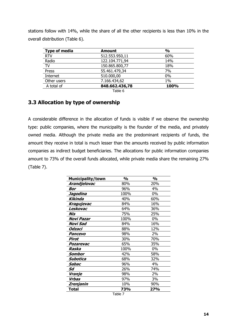stations follow with 14%, while the share of all the other recipients is less than 10% in the overall distribution (Table 6).

| <b>Type of media</b> | <b>Amount</b>  | $\frac{0}{0}$ |
|----------------------|----------------|---------------|
| <u>RTV</u>           | 512.553.950,11 | 60%           |
| Radio                | 122.104.771,94 | 14%           |
| TV                   | 150.865.800,77 | 18%           |
| Press                | 55.461.479,34  | 7%            |
| Internet             | 510.000,00     | 0%            |
| Other users          | 7.166.434,62   | 1%            |
| A total of           | 848.662.436,78 | 100%          |
|                      | ___            |               |

Table 6

#### <span id="page-16-0"></span>**3.3 Allocation by type of ownership**

A considerable difference in the allocation of funds is visible if we observe the ownership type: public companies, where the municipality is the founder of the media, and privately owned media. Although the private media are the predominant recipients of funds, the amount they receive in total is much lesser than the amounts received by public information companies as indirect budget beneficiaries. The allocations for public information companies amount to 73% of the overall funds allocated, while private media share the remaining 27% (Table 7).

| Municipality/town | $\frac{1}{2}$ | $\mathsf{O}\mathsf{V}_\mathbf{0}$ |
|-------------------|---------------|-----------------------------------|
| Arandjelovac      | 80%           | 20%                               |
| Bor               | 96%           | 4%                                |
| Jagodina          | 100%          | 0%                                |
| Kikinda           | 40%           | 60%                               |
| Kragujevac        | 84%           | 16%                               |
| Leskovac          | 64%           | 36%                               |
| Nis               | 75%           | 25%                               |
| <b>Novi Pazar</b> | 100%          | 0%                                |
| Novi Sad          | 84%           | 16%                               |
| Odzaci            | 88%           | 12%                               |
| Pancevo           | 98%           | 2%                                |
| Pirot             | 30%           | 70%                               |
| Pozarevac         | 65%           | 35%                               |
| Raska             | 100%          | 0%                                |
| Sombor            | 42%           | 58%                               |
| Subotica          | 68%           | 32%                               |
| Sabac             | 96%           | 4%                                |
| Sd                | 26%           | 74%                               |
| Vranje            | 98%           | 2%                                |
| Vrbas             | 97%           | 3%                                |
| Zrenjanin         | 10%           | 90%                               |
| Total             | 73%           | 27%                               |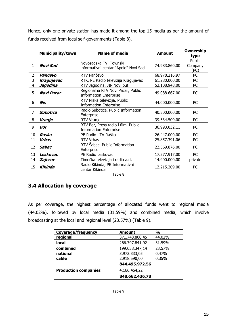Hence, only one private station has made it among the top 15 media as per the amount of funds received from local self-governments (Table 8).

|                | <b>Municipality/town</b> | <b>Name of media</b>                                                 | <b>Amount</b> | <b>Ownership</b><br>type  |
|----------------|--------------------------|----------------------------------------------------------------------|---------------|---------------------------|
| 1              | Novi Sad                 | Novosadska TV, Townski<br>informativni centar "Apolo" Novi Sad       | 74.983.860,00 | Public<br>Company<br>(PC) |
| $\overline{2}$ | Pancevo                  | RTV Pančevo                                                          | 68.978.216,97 | PC                        |
| 3              | Kragujevac               | RTK, PE Radio televizija Kragujevac                                  | 61.280.000,00 | PC                        |
| $\overline{4}$ | Jagodina                 | RTV Jagodina, JIP Novi put                                           | 52.108.948,00 | PC                        |
| 5              | Novi Pazar               | Regionalna RTV Novi Pazar, Public<br><b>Information Enterprise</b>   | 49.088.667,00 | PC.                       |
| 6              | Nis                      | RTV Niška televizija, Public<br><b>Information Enterprise</b>        | 44.000.000,00 | PC.                       |
| 7              | Subotica                 | Radio Subotica, Public Information<br>Enterprise                     | 40.500.000,00 | PC                        |
| 8              | Vranje                   | <b>RTV Vranje</b>                                                    | 39.534.509,00 | PC                        |
| 9              | <b>Bor</b>               | RTV Bor, Press radio i film, Public<br><b>Information Enterprise</b> | 36.993.032,11 | PC.                       |
| 10             | Raska                    | PE Radio i TV Raška                                                  | 26.447.000,00 | PC                        |
| 11             | Vrbas                    | RTV Vrbas                                                            | 25.857.391,06 | PC                        |
| 12             | <b>Sabac</b>             | RTV Sabac, Public Information<br>Enterprise                          | 22.569.876,00 | PC                        |
| 13             | Leskovac                 | PE Radio Leskovac                                                    | 17.277.917,00 | PC                        |
| 14             | Zajecar                  | Timočka televizija i radio a.d.                                      | 14.900.000,00 | private                   |
| 15             | <b>Kikinda</b>           | Radio Kikinda, PE Informativni<br>centar Kikinda                     | 12.215.209,00 | PC                        |

Table 8

## <span id="page-17-0"></span>**3.4 Allocation by coverage**

As per coverage, the highest percentage of allocated funds went to regional media (44.02%), followed by local media (31.59%) and combined media, which involve broadcasting at the local and regional level (23.57%) (Table 9).

| <b>Coverage/frequency</b>   | <b>Amount</b>  | $\frac{0}{0}$ |
|-----------------------------|----------------|---------------|
| regional                    | 371.748.860,45 | 44,02%        |
| local                       | 266.797.841,92 | 31,59%        |
| combined                    | 199.058.347,14 | 23,57%        |
| national                    | 3.972.333,05   | 0,47%         |
| cable                       | 2.918.590,00   | 0,35%         |
|                             | 844.495.972,56 |               |
| <b>Production companies</b> | 4.166.464,22   |               |
|                             | 848.662.436,78 |               |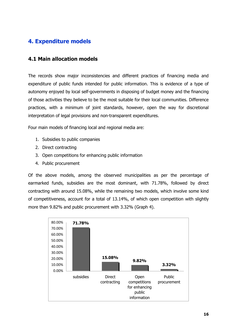# <span id="page-18-0"></span>**4. Expenditure models**

#### <span id="page-18-1"></span>**4.1 Main allocation models**

The records show major inconsistencies and different practices of financing media and expenditure of public funds intended for public information. This is evidence of a type of autonomy enjoyed by local self-governments in disposing of budget money and the financing of those activities they believe to be the most suitable for their local communities. Difference practices, with a minimum of joint standards, however, open the way for discretional interpretation of legal provisions and non-transparent expenditures.

Four main models of financing local and regional media are:

- 1. Subsidies to public companies
- 2. Direct contracting
- 3. Open competitions for enhancing public information
- 4. Public procurement

Of the above models, among the observed municipalities as per the percentage of earmarked funds, subsidies are the most dominant, with 71.78%, followed by direct contracting with around 15.08%, while the remaining two models, which involve some kind of competitiveness, account for a total of 13.14%, of which open competition with slightly more than 9.82% and public procurement with 3.32% (Graph 4).

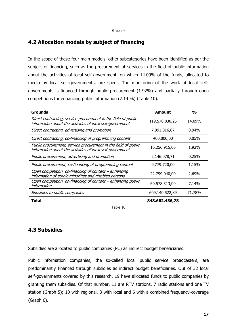#### <span id="page-19-0"></span>**4.2 Allocation models by subject of financing**

In the scope of these four main models, other subcategories have been identified as per the subject of financing, such as the procurement of services in the field of public information about the activities of local self-government, on which 14.09% of the funds, allocated to media by local self-governments, are spent. The monitoring of the work of local selfgovernments is financed through public procurement (1.92%) and partially through open competitions for enhancing public information (7.14 %) (Table 10).

| Grounds                                                                                                                     | Amount         | $\frac{0}{0}$ |
|-----------------------------------------------------------------------------------------------------------------------------|----------------|---------------|
| Direct contracting, service procurement in the field of public<br>information about the activities of local self-government | 119.570.830,25 | 14,09%        |
| Direct contracting, advertising and promotion                                                                               | 7.991.016,87   | 0,94%         |
| Direct contracting, co-financing of programming content                                                                     | 400.000,00     | $0,05\%$      |
| Public procurement, service procurement in the field of public<br>information about the activities of local self-government | 16.256.915,06  | 1,92%         |
| Public procurement, advertising and promotion                                                                               | 2.146.078,71   | 0,25%         |
| Public procurement, co-financing of programming content                                                                     | 9.779.720,00   | 1,15%         |
| Open competition, co-financing of content – enhancing<br>information of ethnic minorities and disabled persons              | 22.799.040,00  | 2,69%         |
| Open competition, co-financing of content - enhancing public<br>information                                                 | 60.578.313,00  | 7,14%         |
| Subsidies to public companies                                                                                               | 609.140.522,89 | 71,78%        |
| Total                                                                                                                       | 848.662.436,78 |               |
| Table 10                                                                                                                    |                |               |

#### <span id="page-19-1"></span>**4.3 Subsidies**

Subsidies are allocated to public companies (PC) as indirect budget beneficiaries.

Public information companies, the so-called local public service broadcasters, are predominantly financed through subsidies as indirect budget beneficiaries. Out of 32 local self-governments covered by this research, 19 have allocated funds to public companies by granting them subsidies. Of that number, 11 are RTV stations, 7 radio stations and one TV station (Graph 5); 10 with regional, 3 with local and 6 with a combined frequency-coverage (Graph 6).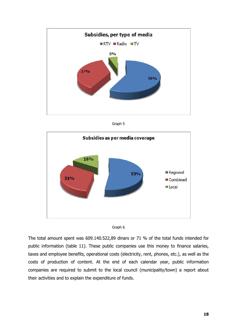







The total amount spent was 609.140.522,89 dinars or 71 % of the total funds intended for public information (table 11). These public companies use this money to finance salaries, taxes and employee benefits, operational costs (electricity, rent, phones, etc.), as well as the costs of production of content. At the end of each calendar year, public information companies are required to submit to the local council (municipality/town) a report about their activities and to explain the expenditure of funds.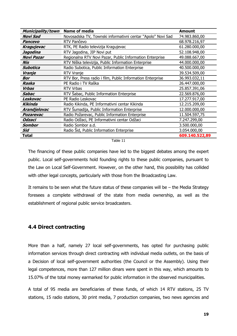| <b>Municipality/town</b> | Name of media                                               | <b>Amount</b>  |
|--------------------------|-------------------------------------------------------------|----------------|
| Novi Sad                 | Novosadska TV, Townski informativni centar "Apolo" Novi Sad | 74.983.860,00  |
| Pancevo                  | RTV Pančevo                                                 | 68.978.216,97  |
| Kragujevac               | RTK, PE Radio televizija Kragujevac                         | 61.280.000,00  |
| Jagodina                 | RTV Jagodina, JIP Novi put                                  | 52.108.948,00  |
| <b>Novi Pazar</b>        | Regionalna RTV Novi Pazar, Public Information Enterprise    | 49.088.667,00  |
| Nis                      | RTV Niška televizija, Public Information Enterprise         | 44.000.000,00  |
| Subotica                 | Radio Subotica, Public Information Enterprise               | 40.500.000,00  |
| Vranje                   | <b>RTV Vranje</b>                                           | 39.534.509,00  |
| Bor                      | RTV Bor, Press radio i film, Public Information Enterprise  | 36.993.032,11  |
| Raska                    | PE Radio i TV Raška                                         | 26.447.000,00  |
| Vrbas                    | RTV Vrbas                                                   | 25.857.391,06  |
| Sabac                    | RTV Sabac, Public Information Enterprise                    | 22.569.876,00  |
| Leskovac                 | PE Radio Leskovac                                           | 17.277.917,00  |
| Kikinda                  | Radio Kikinda, PE Informativni centar Kikinda               | 12.215.209,00  |
| Arandjelovac             | RTV Sumadija, Public Information Enterprise                 | 12.000.000,00  |
| Pozarevac                | Radio Požarevac, Public Information Enterprise              | 11.504.597,75  |
| <b>Odzaci</b>            | Radio Odžaci, PE Informativni centar Odžaci                 | 7.247.299,00   |
| Sombor                   | Radio Sombor a.d.                                           | 3.500.000,00   |
| Sid                      | Radio Sid, Public Information Enterprise                    | 3.054.000,00   |
| Total                    |                                                             | 609.140.522,89 |

Table 11

The financing of these public companies have led to the biggest debates among the expert public. Local self-governments hold founding rights to these public companies, pursuant to the Law on Local Self-Government. However, on the other hand, this possibility has collided with other legal concepts, particularly with those from the Broadcasting Law.

It remains to be seen what the future status of these companies will be  $-$  the Media Strategy foresees a complete withdrawal of the state from media ownership, as well as the establishment of regional public service broadcasters.

#### <span id="page-21-0"></span>**4.4 Direct contracting**

More than a half, namely 27 local self-governments, has opted for purchasing public information services through direct contracting with individual media outlets, on the basis of a Decision of local self-government authorities (the Council or the Assembly). Using their legal competences, more than 127 million dinars were spent in this way, which amounts to 15.07% of the total money earmarked for public information in the observed municipalities.

A total of 95 media are beneficiaries of these funds, of which 14 RTV stations, 25 TV stations, 15 radio stations, 30 print media, 7 production companies, two news agencies and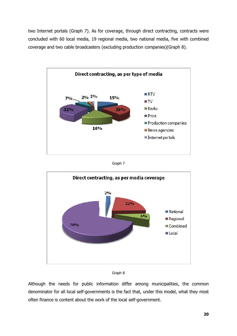two Internet portals (Graph 7). As for coverage, through direct contracting, contracts were concluded with 60 local media, 19 regional media, two national media, five with combined coverage and two cable broadcasters (excluding production companies)(Graph 8).



Graph 7





Although the needs for public information differ among municipalities, the common denominator for all local self-governments is the fact that, under this model, what they most often finance is content about the work of the local self-government.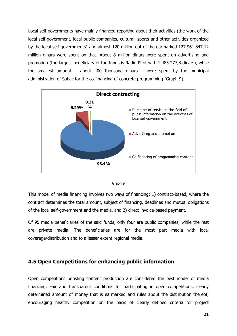Local self-governments have mainly financed reporting about their activities (the work of the local self-government, local public companies, cultural, sports and other activities organized by the local self-governments) and almost 120 million out of the earmarked 127.961.847,12 million dinars were spent on that. About 8 million dinars were spent on advertising and promotion (the largest beneficiary of the funds is Radio Pirot with 1.485.277,8 dinars), while the smallest amount – about 400 thousand dinars – were spent by the municipal administration of Sabac for the co-financing of concrete programming (Graph 9).





This model of media financing involves two ways of financing: 1) contract-based, where the contract determines the total amount, subject of financing, deadlines and mutual obligations of the local self-government and the media, and 2) direct invoice-based payment.

Of 95 media beneficiaries of the said funds, only four are public companies, while the rest are private media. The beneficiaries are for the most part media with local coverage/distribution and to a lesser extent regional media.

#### <span id="page-23-0"></span>**4.5 Open Competitions for enhancing public information**

Open competitions boosting content production are considered the best model of media financing. Fair and transparent conditions for participating in open competitions, clearly determined amount of money that is earmarked and rules about the distribution thereof, encouraging healthy competition on the basis of clearly defined criteria for project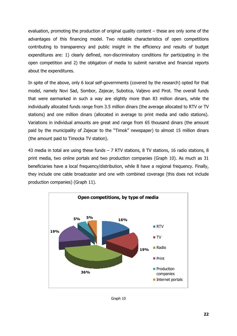evaluation, promoting the production of original quality content – these are only some of the advantages of this financing model. Two notable characteristics of open competitions contributing to transparency and public insight in the efficiency and results of budget expenditures are: 1) clearly defined, non-discriminatory conditions for participating in the open competition and 2) the obligation of media to submit narrative and financial reports about the expenditures.

In spite of the above, only 6 local self-governments (covered by the research) opted for that model, namely Novi Sad, Sombor, Zajecar, Subotica, Valjevo and Pirot. The overall funds that were earmarked in such a way are slightly more than 83 million dinars, while the individually allocated funds range from 3.5 million dinars (the average allocated to RTV or TV stations) and one million dinars (allocated in average to print media and radio stations). Variations in individual amounts are great and range from 65 thousand dinars (the amount paid by the municipality of Zajecar to the "Timok" newspaper) to almost 15 million dinars (the amount paid to Timocka TV station).

43 media in total are using these funds  $-$  7 RTV stations, 8 TV stations, 16 radio stations, 8 print media, two online portals and two production companies (Graph 10). As much as 31 beneficiaries have a local frequency/distribution, while 8 have a regional frequency. Finally, they include one cable broadcaster and one with combined coverage (this does not include production companies) (Graph 11).



Graph 10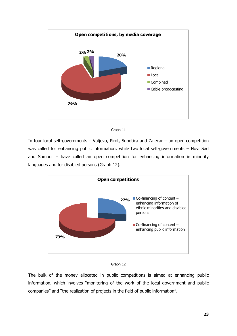



In four local self-governments – Valjevo, Pirot, Subotica and Zajecar – an open competition was called for enhancing public information, while two local self-governments – Novi Sad and Sombor – have called an open competition for enhancing information in minority languages and for disabled persons (Graph 12).





The bulk of the money allocated in public competitions is aimed at enhancing public information, which involves "monitoring of the work of the local government and public companies" and "the realization of projects in the field of public information".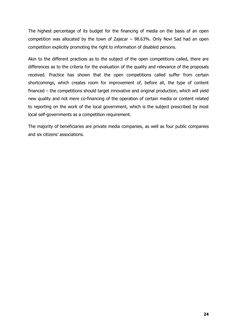The highest percentage of its budget for the financing of media on the basis of an open competition was allocated by the town of Zajecar – 98.63%. Only Novi Sad had an open competition explicitly promoting the right to information of disabled persons.

Akin to the different practices as to the subject of the open competitions called, there are differences as to the criteria for the evaluation of the quality and relevance of the proposals received. Practice has shown that the open competitions called suffer from certain shortcomings, which creates room for improvement of, before all, the type of content financed – the competitions should target innovative and original production, which will yield new quality and not mere co-financing of the operation of certain media or content related to reporting on the work of the local government, which is the subject prescribed by most local self-governments as a competition requirement.

The majority of beneficiaries are private media companies, as well as four public companies and six citizens' associations.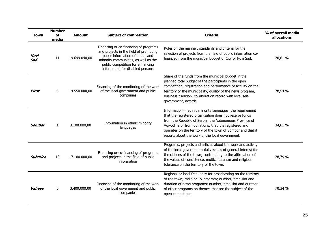| <b>Town</b>   | <b>Number</b><br>of<br>media | <b>Subject of competition</b><br><b>Amount</b> |                                                                                                                                                                                                                                     | <b>Criteria</b>                                                                                                                                                                                                                                                                                                                                             | % of overall media<br>allocations |
|---------------|------------------------------|------------------------------------------------|-------------------------------------------------------------------------------------------------------------------------------------------------------------------------------------------------------------------------------------|-------------------------------------------------------------------------------------------------------------------------------------------------------------------------------------------------------------------------------------------------------------------------------------------------------------------------------------------------------------|-----------------------------------|
| Novi<br>Sad   | 11                           | 19.699.040,00                                  | Financing or co-financing of programs<br>and projects in the field of promoting<br>public information of ethnic and<br>minority communities, as well as the<br>public competition for enhancing<br>information for disabled persons | Rules on the manner, standards and criteria for the<br>selection of projects from the field of public information co-<br>financed from the municipal budget of City of Novi Sad.                                                                                                                                                                            | 20,81 %                           |
| Pirot         | 5                            | 14.550.000,00                                  | Financing of the monitoring of the work<br>of the local government and public<br>companies                                                                                                                                          | Share of the funds from the municipal budget in the<br>planned total budget of the participants in the open<br>competition, registration and performance of activity on the<br>territory of the municipality, quality of the news program,<br>business tradition, collaboration record with local self-<br>government, awards                               | 78,54 %                           |
| <b>Sombor</b> | $\mathbf{1}$                 | 3.100.000,00                                   | Information in ethnic minority<br>languages                                                                                                                                                                                         | Information in ethnic minority languages, the requirement<br>that the registered organization does not receive funds<br>from the Republic of Serbia, the Autonomous Province of<br>Vojvodina or from donations; that it is registered and<br>operates on the territory of the town of Sombor and that it<br>reports about the work of the local government. | 34,61 %                           |
| Subotica      | 13                           | 17.100.000,00                                  | Financing or co-financing of programs<br>and projects in the field of public<br>information                                                                                                                                         | Programs, projects and articles about the work and activity<br>of the local government; daily issues of general interest for<br>the citizens of the town; contributing to the affirmation of<br>the values of coexistence, multiculturalism and religious<br>tolerance on the territory of the town.                                                        | 28,79 %                           |
| Valjevo       | 6                            | 3.400.000,00                                   | Financing of the monitoring of the work<br>of the local government and public<br>companies                                                                                                                                          | Regional or local frequency for broadcasting on the territory<br>of the town; radio or TV program; number, time slot and<br>duration of news programs; number, time slot and duration<br>of other programs on themes that are the subject of the<br>open competition                                                                                        | 70,34 %                           |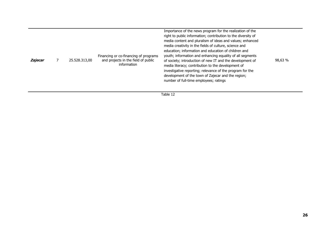| Zajecar |  | 25.528.313,00 | Financing or co-financing of programs<br>and projects in the field of public<br>information | Importance of the news program for the realization of the<br>right to public information; contribution to the diversity of<br>media content and pluralism of ideas and values; enhanced<br>media creativity in the fields of culture, science and<br>education; information and education of children and<br>youth; information and enhancing equality of all segments<br>of society; introduction of new IT and the development of<br>media literacy; contribution to the development of<br>investigative reporting; relevance of the program for the<br>development of the town of Zajecar and the region;<br>number of full-time employees; ratings | 98,63 % |
|---------|--|---------------|---------------------------------------------------------------------------------------------|--------------------------------------------------------------------------------------------------------------------------------------------------------------------------------------------------------------------------------------------------------------------------------------------------------------------------------------------------------------------------------------------------------------------------------------------------------------------------------------------------------------------------------------------------------------------------------------------------------------------------------------------------------|---------|
|---------|--|---------------|---------------------------------------------------------------------------------------------|--------------------------------------------------------------------------------------------------------------------------------------------------------------------------------------------------------------------------------------------------------------------------------------------------------------------------------------------------------------------------------------------------------------------------------------------------------------------------------------------------------------------------------------------------------------------------------------------------------------------------------------------------------|---------|

Table 12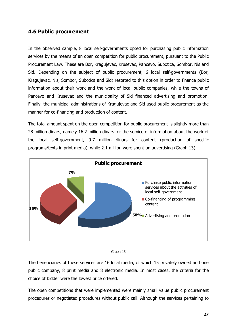### <span id="page-29-0"></span>**4.6 Public procurement**

In the observed sample, 8 local self-governments opted for purchasing public information services by the means of an open competition for public procurement, pursuant to the Public Procurement Law. These are Bor, Kragujevac, Krusevac, Pancevo, Subotica, Sombor, Nis and Sid. Depending on the subject of public procurement, 6 local self-governments (Bor, Kragujevac, Nis, Sombor, Subotica and Sid) resorted to this option in order to finance public information about their work and the work of local public companies, while the towns of Pancevo and Krusevac and the municipality of Sid financed advertising and promotion. Finally, the municipal administrations of Kragujevac and Sid used public procurement as the manner for co-financing and production of content.

The total amount spent on the open competition for public procurement is slightly more than 28 million dinars, namely 16.2 million dinars for the service of information about the work of the local self-government, 9.7 million dinars for content (production of specific programs/texts in print media), while 2.1 million were spent on advertising (Graph 13).





The beneficiaries of these services are 16 local media, of which 15 privately owned and one public company, 8 print media and 8 electronic media. In most cases, the criteria for the choice of bidder were the lowest price offered.

The open competitions that were implemented were mainly small value public procurement procedures or negotiated procedures without public call. Although the services pertaining to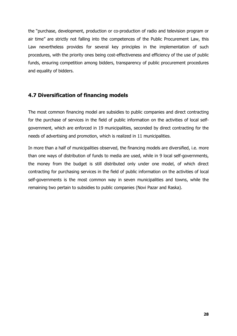the "purchase, development, production or co-production of radio and television program or air time" are strictly not falling into the competences of the Public Procurement Law, this Law nevertheless provides for several key principles in the implementation of such procedures, with the priority ones being cost-effectiveness and efficiency of the use of public funds, ensuring competition among bidders, transparency of public procurement procedures and equality of bidders.

## <span id="page-30-0"></span>**4.7 Diversification of financing models**

The most common financing model are subsidies to public companies and direct contracting for the purchase of services in the field of public information on the activities of local selfgovernment, which are enforced in 19 municipalities, seconded by direct contracting for the needs of advertising and promotion, which is realized in 11 municipalities.

In more than a half of municipalities observed, the financing models are diversified, i.e. more than one ways of distribution of funds to media are used, while in 9 local self-governments, the money from the budget is still distributed only under one model, of which direct contracting for purchasing services in the field of public information on the activities of local self-governments is the most common way in seven municipalities and towns, while the remaining two pertain to subsidies to public companies (Novi Pazar and Raska).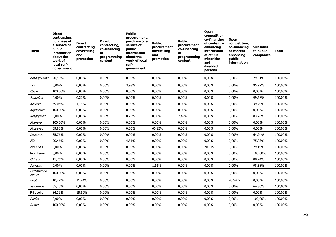| Town                 | <b>Direct</b><br>contracting,<br>purchase of<br>a service of<br>public<br><b>information</b><br>about the<br>work of<br>local self-<br>government | <b>Direct</b><br>contracting,<br>advertising<br>and<br>promotion | <b>Direct</b><br>contracting,<br>co-financing<br>of<br>programming<br>content | <b>Public</b><br>procurement,<br>purchase of a<br>service of<br>public<br><b>information</b><br>about the<br>work of local<br>self-<br>government | <b>Public</b><br>procurement,<br>advertising<br>and<br>promotion | <b>Public</b><br>procurement,<br>co-financing<br>of<br>programming<br>content | Open<br>competition,<br>co-financing<br>of content -<br>enhancing<br><b>information</b><br>of ethnic<br>minorities<br>and<br>disabled<br>persons | Open<br>competition,<br>co-financing<br>of content –<br>enhancing<br>public<br>information | <b>Subsidies</b><br>to public<br>companies | <b>Total</b> |
|----------------------|---------------------------------------------------------------------------------------------------------------------------------------------------|------------------------------------------------------------------|-------------------------------------------------------------------------------|---------------------------------------------------------------------------------------------------------------------------------------------------|------------------------------------------------------------------|-------------------------------------------------------------------------------|--------------------------------------------------------------------------------------------------------------------------------------------------|--------------------------------------------------------------------------------------------|--------------------------------------------|--------------|
| Arandjelovac         | 20,49%                                                                                                                                            | 0,00%                                                            | 0,00%                                                                         | 0,00%                                                                                                                                             | 0,00%                                                            | 0,00%                                                                         | 0,00%                                                                                                                                            | 0,00%                                                                                      | 79,51%                                     | 100,00%      |
| Bor                  | 0,00%                                                                                                                                             | 0,03%                                                            | 0,00%                                                                         | 3,98%                                                                                                                                             | 0,00%                                                            | 0,00%                                                                         | 0,00%                                                                                                                                            | 0,00%                                                                                      | 95,99%                                     | 100,00%      |
| Cacak                | 100,00%                                                                                                                                           | 0,00%                                                            | 0,00%                                                                         | 0,00%                                                                                                                                             | 0,00%                                                            | 0,00%                                                                         | 0,00%                                                                                                                                            | $0,00\%$                                                                                   | 0,00%                                      | 100,00%      |
| Jagodina             | 0,00%                                                                                                                                             | 0,22%                                                            | 0,00%                                                                         | 0,00%                                                                                                                                             | 0,00%                                                            | 0,00%                                                                         | 0,00%                                                                                                                                            | 0,00%                                                                                      | 99,78%                                     | 100,00%      |
| Kikinda              | 59,08%                                                                                                                                            | 1,13%                                                            | 0,00%                                                                         | 0,00%                                                                                                                                             | 0,00%                                                            | 0,00%                                                                         | 0,00%                                                                                                                                            | 0,00%                                                                                      | 39,79%                                     | 100,00%      |
| Knjazevac            | 100,00%                                                                                                                                           | 0,00%                                                            | 0,00%                                                                         | 0,00%                                                                                                                                             | 0,00%                                                            | 0,00%                                                                         | 0,00%                                                                                                                                            | 0,00%                                                                                      | 0,00%                                      | 100,00%      |
| Kragujevac           | 0,00%                                                                                                                                             | 0,00%                                                            | 0,00%                                                                         | 8,75%                                                                                                                                             | 0,00%                                                            | 7,49%                                                                         | 0,00%                                                                                                                                            | $0.00\%$                                                                                   | 83,76%                                     | 100,00%      |
| Kraljevo             | 100,00%                                                                                                                                           | 0,00%                                                            | $0,00\%$                                                                      | 0,00%                                                                                                                                             | 0,00%                                                            | 0,00%                                                                         | 0,00%                                                                                                                                            | 0,00%                                                                                      | 0,00%                                      | 100,00%      |
| Krusevac             | 39,88%                                                                                                                                            | 0,00%                                                            | 0,00%                                                                         | 0,00%                                                                                                                                             | 60,12%                                                           | 0,00%                                                                         | 0,00%                                                                                                                                            | 0,00%                                                                                      | 0,00%                                      | 100,00%      |
| Leskovac             | 35,76%                                                                                                                                            | 0,00%                                                            | 0,00%                                                                         | 0,00%                                                                                                                                             | 0,00%                                                            | 0,00%                                                                         | 0,00%                                                                                                                                            | $0,00\%$                                                                                   | 64,24%                                     | 100,00%      |
| Nis                  | 20,46%                                                                                                                                            | 0,00%                                                            | 0,00%                                                                         | 4,51%                                                                                                                                             | 0,00%                                                            | 0,00%                                                                         | 0,00%                                                                                                                                            | 0,00%                                                                                      | 75,03%                                     | 100,00%      |
| Novi Sad             | 0,00%                                                                                                                                             | 0,00%                                                            | 0,00%                                                                         | 0,00%                                                                                                                                             | 0,00%                                                            | 0,00%                                                                         | 20,81%                                                                                                                                           | 0,00%                                                                                      | 79,19%                                     | 100,00%      |
| Novi Pazar           | 0,00%                                                                                                                                             | 0,00%                                                            | 0,00%                                                                         | 0,00%                                                                                                                                             | 0,00%                                                            | 0,00%                                                                         | 0,00%                                                                                                                                            | 0,00%                                                                                      | 100,00%                                    | 100,00%      |
| Odzaci               | 11,76%                                                                                                                                            | 0,00%                                                            | 0,00%                                                                         | 0,00%                                                                                                                                             | 0,00%                                                            | $0.00\%$                                                                      | 0,00%                                                                                                                                            | 0,00%                                                                                      | 88,24%                                     | 100,00%      |
| Pancevo              | $0,00\%$                                                                                                                                          | 0,00%                                                            | $0,00\%$                                                                      | 0,00%                                                                                                                                             | 1,62%                                                            | 0,00%                                                                         | 0,00%                                                                                                                                            | 0,00%                                                                                      | 98,38%                                     | 100,00%      |
| Petrovac on<br>Mlava | 100,00%                                                                                                                                           | 0,00%                                                            | 0,00%                                                                         | 0,00%                                                                                                                                             | 0,00%                                                            | 0,00%                                                                         | 0,00%                                                                                                                                            | 0,00%                                                                                      | 0,00%                                      | 100,00%      |
| Pirot                | 10,22%                                                                                                                                            | 11,24%                                                           | $0,00\%$                                                                      | 0,00%                                                                                                                                             | 0,00%                                                            | 0,00%                                                                         | $0,00\%$                                                                                                                                         | 78,54%                                                                                     | $0,00\%$                                   | 100,00%      |
| Pozarevac            | 35,20%                                                                                                                                            | 0,00%                                                            | 0,00%                                                                         | 0,00%                                                                                                                                             | 0,00%                                                            | 0,00%                                                                         | 0,00%                                                                                                                                            | 0,00%                                                                                      | 64,80%                                     | 100,00%      |
| Prijepolje           | 84,31%                                                                                                                                            | 15,69%                                                           | 0,00%                                                                         | 0,00%                                                                                                                                             | 0,00%                                                            | 0,00%                                                                         | 0,00%                                                                                                                                            | 0,00%                                                                                      | 0,00%                                      | 100,00%      |
| Raska                | 0,00%                                                                                                                                             | 0,00%                                                            | 0,00%                                                                         | 0,00%                                                                                                                                             | 0,00%                                                            | 0,00%                                                                         | 0,00%                                                                                                                                            | 0,00%                                                                                      | 100,00%                                    | 100,00%      |
| Ruma                 | 100,00%                                                                                                                                           | 0,00%                                                            | 0,00%                                                                         | 0,00%                                                                                                                                             | 0,00%                                                            | $0.00\%$                                                                      | 0,00%                                                                                                                                            | 0,00%                                                                                      | 0,00%                                      | 100,00%      |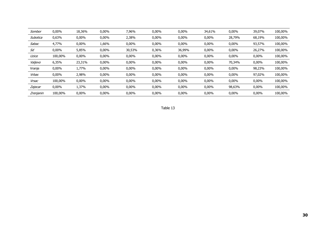| Sombor    | $0,00\%$ | 18,36%   | $0,00\%$ | 7,96%    | 0,00% | 0,00%  | 34,61%   | $0,00\%$ | 39,07%   | 100,00% |
|-----------|----------|----------|----------|----------|-------|--------|----------|----------|----------|---------|
| Subotica  | 0,63%    | $0,00\%$ | $0,00\%$ | 2,38%    | 0,00% | 0,00%  | $0,00\%$ | 28,79%   | 68,19%   | 100,00% |
| Sabac     | 4,77%    | $0,00\%$ | 1,66%    | $0,00\%$ | 0,00% | 0,00%  | $0,00\%$ | $0,00\%$ | 93,57%   | 100,00% |
| Sd        | $0,00\%$ | 5,85%    | $0,00\%$ | 30,53%   | 0,36% | 36,99% | $0,00\%$ | $0,00\%$ | 26,27%   | 100,00% |
| Uzice     | 100,00%  | $0,00\%$ | $0,00\%$ | $0,00\%$ | 0,00% | 0,00%  | $0,00\%$ | 0,00%    | $0,00\%$ | 100,00% |
| Valjevo   | 6,35%    | 23,31%   | $0,00\%$ | 0,00%    | 0,00% | 0,00%  | $0,00\%$ | 70,34%   | $0,00\%$ | 100,00% |
| Vranje    | 0,00%    | 1,77%    | $0,00\%$ | 0,00%    | 0,00% | 0,00%  | $0,00\%$ | $0,00\%$ | 98,23%   | 100,00% |
| Vrbas     | $0,00\%$ | 2,98%    | $0,00\%$ | $0,00\%$ | 0,00% | 0,00%  | $0,00\%$ | 0,00%    | 97,02%   | 100,00% |
| Vrsac     | 100,00%  | $0,00\%$ | $0,00\%$ | $0,00\%$ | 0,00% | 0,00%  | 0,00%    | 0,00%    | 0,00%    | 100,00% |
| Zajecar   | $0,00\%$ | 1,37%    | $0,00\%$ | $0,00\%$ | 0,00% | 0,00%  | $0,00\%$ | 98,63%   | $0,00\%$ | 100,00% |
| Zrenjanin | 100,00%  | $0,00\%$ | $0,00\%$ | $0,00\%$ | 0,00% | 0,00%  | $0,00\%$ | 0,00%    | $0,00\%$ | 100,00% |

Table 13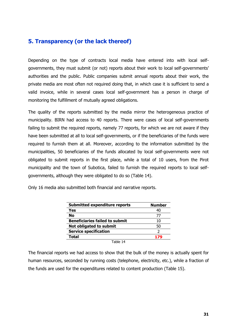# <span id="page-33-0"></span>**5. Transparency (or the lack thereof)**

Depending on the type of contracts local media have entered into with local selfgovernments, they must submit (or not) reports about their work to local self-governments' authorities and the public. Public companies submit annual reports about their work, the private media are most often not required doing that, in which case it is sufficient to send a valid invoice, while in several cases local self-government has a person in charge of monitoring the fulfillment of mutually agreed obligations.

The quality of the reports submitted by the media mirror the heterogeneous practice of municipality. BIRN had access to 40 reports. There were cases of local self-governments failing to submit the required reports, namely 77 reports, for which we are not aware if they have been submitted at all to local self-governments, or if the beneficiaries of the funds were required to furnish them at all. Moreover, according to the information submitted by the municipalities, 50 beneficiaries of the funds allocated by local self-governments were not obligated to submit reports in the first place, while a total of 10 users, from the Pirot municipality and the town of Subotica, failed to furnish the required reports to local selfgovernments, although they were obligated to do so (Table 14).

|  |  | Only 16 media also submitted both financial and narrative reports. |  |  |  |
|--|--|--------------------------------------------------------------------|--|--|--|
|  |  |                                                                    |  |  |  |

| <b>Submitted expenditure reports</b>  | <b>Number</b> |
|---------------------------------------|---------------|
| <b>Yes</b>                            | 40            |
| <b>No</b>                             | 77            |
| <b>Beneficiaries failed to submit</b> | 10            |
| Not obligated to submit               | 50            |
| <b>Service specification</b>          |               |
| Total                                 | 179           |
| Table 14                              |               |

The financial reports we had access to show that the bulk of the money is actually spent for human resources, seconded by running costs (telephone, electricity, etc.), while a fraction of the funds are used for the expenditures related to content production (Table 15).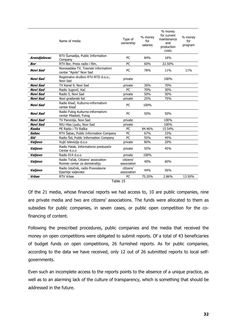|              | Name of media                                                      | Type of<br>ownership     | % money<br>for<br>salaries | % money<br>for current<br>maintenance<br>and<br>production<br>costs | % money<br>for<br>program |
|--------------|--------------------------------------------------------------------|--------------------------|----------------------------|---------------------------------------------------------------------|---------------------------|
| Arandjelovac | RTV Sumadija, Public Information<br>Company                        | PC                       | 84%                        | 16%                                                                 |                           |
| <b>Bor</b>   | RTV Bor, Press radio i film,                                       | PC                       | 60%                        | 22.50%                                                              |                           |
| Novi Sad     | Novosadska TV, Townski informativni<br>centar "Apolo" Novi Sad     | PC                       | 78%                        | 11%                                                                 | 11%                       |
| Novi Sad     | Regionalno društvo RTV-RTD d.o.o.,<br>Novi Sad                     | private                  |                            | 100%                                                                |                           |
| Novi Sad     | TV Kanal 9, Novi Sad                                               | private                  | 30%                        | 70%                                                                 |                           |
| Novi Sad     | Radio Jugović, Kać                                                 | PC                       | 70%                        | 30%                                                                 |                           |
| Novi Sad     | Radio 5, Novi Sad                                                  | private                  | 50%                        | 50%                                                                 |                           |
| Novi Sad     | Novi građanski list                                                | private                  | 25%                        | 75%                                                                 |                           |
| Novi Sad     | Radio Kisač, Kulturno-informativni<br>centar Kisač                 | PC                       | 100%                       |                                                                     |                           |
| Novi Sad     | Radio Futog Kulturno-informativni<br>centar Mladost, Futog         | PC                       | 50%                        | 50%                                                                 |                           |
| Novi Sad     | TV Panonija, Novi Sad                                              | private                  |                            | 100%                                                                |                           |
| Novi Sad     | NIU Hlas Ljudu, Novi Sad                                           | private                  |                            | 100%                                                                |                           |
| Raska        | PE Radio i TV Raška                                                | PC                       | 84.46%                     | 15.54%                                                              |                           |
| <b>Sabac</b> | RTV Šabac, Public Information Company                              | PC                       | 67%                        | 33%                                                                 |                           |
| Sid          | Radio Sid, Public Information Company                              | PC                       | 55%                        | 45%                                                                 |                           |
| Valjevo      | Vujić televizija d.o.o                                             | private                  | 80%                        | 20%                                                                 |                           |
| Valjevo      | Radio Patak, Informativno preduzeće<br>Centar d.o.o                | private                  | 55%                        | 45%                                                                 |                           |
| Valjevo      | Radio 014 d.o.o                                                    | private                  | 100%                       |                                                                     |                           |
| Valjevo      | Radio Točak, Citizens' association<br>Romski centar za demokratiju | citizens'<br>association | 40%                        | 60%                                                                 |                           |
| Valjevo      | Radio Istočnik, radio Pravoslavne<br>Eparhije valjevske            | citizens'<br>association | 44%                        | 56%                                                                 |                           |
| <b>Vrbas</b> | RTV Vrbas                                                          | PC                       | 75.20%                     | 2.86%                                                               | 13.50%                    |
|              |                                                                    | $T = 112.4T$             |                            |                                                                     |                           |

Table 15

Of the 21 media, whose financial reports we had access to, 10 are public companies, nine are private media and two are citizens' associations. The funds were allocated to them as subsidies for public companies, in seven cases, or public open competition for the cofinancing of content.

Following the prescribed procedures, public companies and the media that received the money on open competitions were obligated to submit reports. Of a total of 43 beneficiaries of budget funds on open competitions, 26 furnished reports. As for public companies, according to the data we have received, only 12 out of 26 submitted reports to local selfgovernments.

Even such an incomplete access to the reports points to the absence of a unique practice, as well as to an alarming lack of the culture of transparency, which is something that should be addressed in the future.